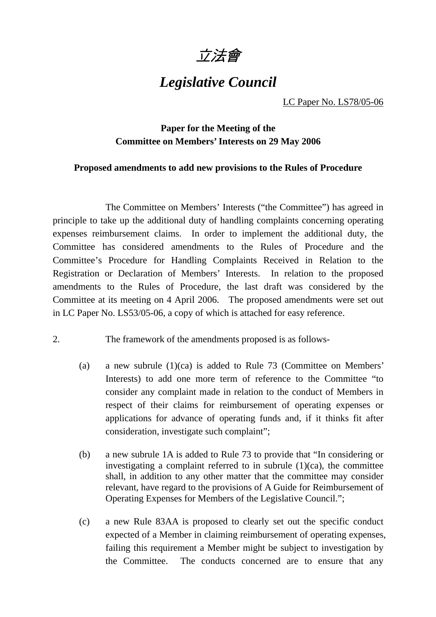

## *Legislative Council*

LC Paper No. LS78/05-06

## **Paper for the Meeting of the Committee on Members' Interests on 29 May 2006**

## **Proposed amendments to add new provisions to the Rules of Procedure**

 The Committee on Members' Interests ("the Committee") has agreed in principle to take up the additional duty of handling complaints concerning operating expenses reimbursement claims. In order to implement the additional duty, the Committee has considered amendments to the Rules of Procedure and the Committee's Procedure for Handling Complaints Received in Relation to the Registration or Declaration of Members' Interests. In relation to the proposed amendments to the Rules of Procedure, the last draft was considered by the Committee at its meeting on 4 April 2006. The proposed amendments were set out in LC Paper No. LS53/05-06, a copy of which is attached for easy reference.

- 2. The framework of the amendments proposed is as follows-
	- (a) a new subrule (1)(ca) is added to Rule 73 (Committee on Members' Interests) to add one more term of reference to the Committee "to consider any complaint made in relation to the conduct of Members in respect of their claims for reimbursement of operating expenses or applications for advance of operating funds and, if it thinks fit after consideration, investigate such complaint";
	- (b) a new subrule 1A is added to Rule 73 to provide that "In considering or investigating a complaint referred to in subrule  $(1)(ca)$ , the committee shall, in addition to any other matter that the committee may consider relevant, have regard to the provisions of A Guide for Reimbursement of Operating Expenses for Members of the Legislative Council.";
	- (c) a new Rule 83AA is proposed to clearly set out the specific conduct expected of a Member in claiming reimbursement of operating expenses, failing this requirement a Member might be subject to investigation by the Committee. The conducts concerned are to ensure that any